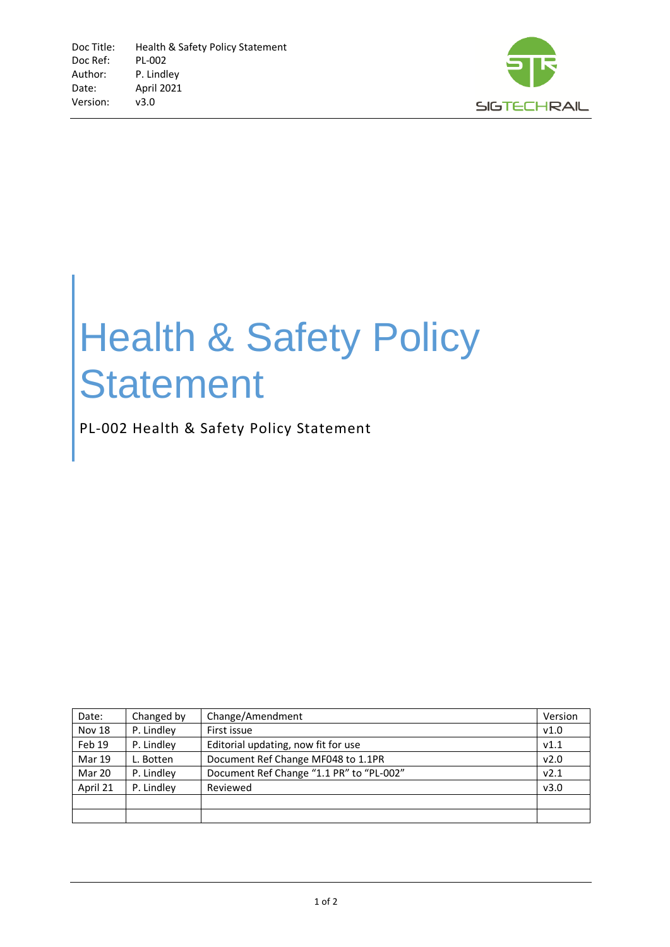

## Health & Safety Policy **Statement**

PL-002 Health & Safety Policy Statement

| Date:         | Changed by | Change/Amendment                         | Version |
|---------------|------------|------------------------------------------|---------|
| Nov 18        | P. Lindley | First issue                              | V1.0    |
| Feb 19        | P. Lindley | Editorial updating, now fit for use      | V1.1    |
| <b>Mar 19</b> | L. Botten  | Document Ref Change MF048 to 1.1PR       | v2.0    |
| Mar 20        | P. Lindley | Document Ref Change "1.1 PR" to "PL-002" | v2.1    |
| April 21      | P. Lindley | Reviewed                                 | v3.0    |
|               |            |                                          |         |
|               |            |                                          |         |